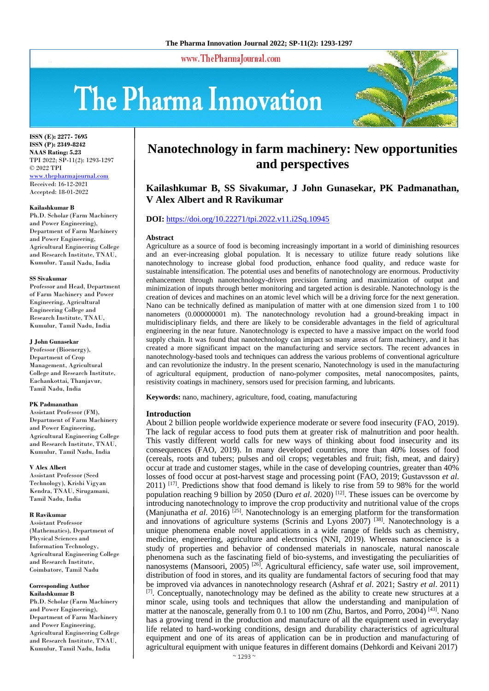www.ThePharmaJournal.com

# The Pharma Innovation



**ISSN (E): 2277- 7695 ISSN (P): 2349-8242 NAAS Rating: 5.23** TPI 2022; SP-11(2): 1293-1297 © 2022 TPI www.thepharmajournal.com Received: 16-12-2021 Accepted: 18-01-2022

#### **Kailashkumar B**

Ph.D. Scholar (Farm Machinery and Power Engineering), Department of Farm Machinery and Power Engineering, Agricultural Engineering College and Research Institute, TNAU, Kumulur, Tamil Nadu, India

#### **SS Sivakumar**

Professor and Head, Department of Farm Machinery and Power Engineering, Agricultural Engineering College and Research Institute, TNAU, Kumulur, Tamil Nadu, India

#### **J John Gunasekar**

Professor (Bioenergy), Department of Crop Management, Agricultural College and Research Institute, Eachankottai, Thanjavur, Tamil Nadu, India

#### **PK Padmanathan**

Assistant Professor (FM), Department of Farm Machinery and Power Engineering, Agricultural Engineering College and Research Institute, TNAU, Kumulur, Tamil Nadu, India

#### **V Alex Albert**

Assistant Professor (Seed Technology), Krishi Vigyan Kendra, TNAU, Sirugamani, Tamil Nadu, India

#### **R Ravikumar**

Assistant Professor (Mathematics), Department of Physical Sciences and Information Technology, Agricultural Engineering College and Research Institute, Coimbatore, Tamil Nadu

#### **Corresponding Author Kailashkumar B**

Ph.D. Scholar (Farm Machinery and Power Engineering), Department of Farm Machinery and Power Engineering, Agricultural Engineering College and Research Institute, TNAU, Kumulur, Tamil Nadu, India

# **Nanotechnology in farm machinery: New opportunities and perspectives**

# **Kailashkumar B, SS Sivakumar, J John Gunasekar, PK Padmanathan, V Alex Albert and R Ravikumar**

## **DOI:** <https://doi.org/10.22271/tpi.2022.v11.i2Sq.10945>

#### **Abstract**

Agriculture as a source of food is becoming increasingly important in a world of diminishing resources and an ever-increasing global population. It is necessary to utilize future ready solutions like nanotechnology to increase global food production, enhance food quality, and reduce waste for sustainable intensification. The potential uses and benefits of nanotechnology are enormous. Productivity enhancement through nanotechnology-driven precision farming and maximization of output and minimization of inputs through better monitoring and targeted action is desirable. Nanotechnology is the creation of devices and machines on an atomic level which will be a driving force for the next generation. Nano can be technically defined as manipulation of matter with at one dimension sized from 1 to 100 nanometers (0.000000001 m). The nanotechnology revolution had a ground-breaking impact in multidisciplinary fields, and there are likely to be considerable advantages in the field of agricultural engineering in the near future. Nanotechnology is expected to have a massive impact on the world food supply chain. It was found that nanotechnology can impact so many areas of farm machinery, and it has created a more significant impact on the manufacturing and service sectors. The recent advances in nanotechnology-based tools and techniques can address the various problems of conventional agriculture and can revolutionize the industry. In the present scenario, Nanotechnology is used in the manufacturing of agricultural equipment, production of nano-polymer composites, metal nanocomposites, paints, resistivity coatings in machinery, sensors used for precision farming, and lubricants.

**Keywords:** nano, machinery, agriculture, food, coating, manufacturing

#### **Introduction**

About 2 billion people worldwide experience moderate or severe food insecurity (FAO, 2019). The lack of regular access to food puts them at greater risk of malnutrition and poor health. This vastly different world calls for new ways of thinking about food insecurity and its consequences (FAO, 2019). In many developed countries, more than 40% losses of food (cereals, roots and tubers; pulses and oil crops; vegetables and fruit; fish, meat, and dairy) occur at trade and customer stages, while in the case of developing countries, greater than 40% losses of food occur at post-harvest stage and processing point (FAO, 2019; Gustavsson *et al*. 2011) [17]. Predictions show that food demand is likely to rise from 59 to 98% for the world population reaching 9 billion by 2050 (Duro *et al*. 2020) [12]. These issues can be overcome by introducing nanotechnology to improve the crop productivity and nutritional value of the crops (Manjunatha *et al*. 2016) [25]. Nanotechnology is an emerging platform for the transformation and innovations of agriculture systems (Scrinis and Lyons 2007) [38]. Nanotechnology is a unique phenomena enable novel applications in a wide range of fields such as chemistry, medicine, engineering, agriculture and electronics (NNI, 2019). Whereas nanoscience is a study of properties and behavior of condensed materials in nanoscale, natural nanoscale phenomena such as the fascinating field of bio-systems, and investigating the peculiarities of nanosystems (Mansoori, 2005)<sup>[26]</sup>. Agricultural efficiency, safe water use, soil improvement, distribution of food in stores, and its quality are fundamental factors of securing food that may be improved via advances in nanotechnology research (Ashraf *et al*. 2021; Sastry *et al*. 2011)  $[7]$ . Conceptually, nanotechnology may be defined as the ability to create new structures at a minor scale, using tools and techniques that allow the understanding and manipulation of matter at the nanoscale, generally from 0.1 to 100 nm (Zhu, Bartos, and Porro, 2004) [43]. Nano has a growing trend in the production and manufacture of all the equipment used in everyday life related to hard-working conditions, design and durability characteristics of agricultural equipment and one of its areas of application can be in production and manufacturing of agricultural equipment with unique features in different domains (Dehkordi and Keivani 2017)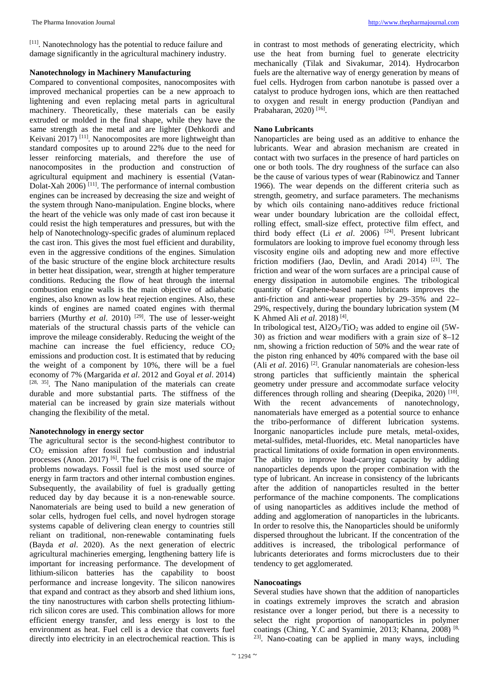[11]. Nanotechnology has the potential to reduce failure and damage significantly in the agricultural machinery industry.

# **Nanotechnology in Machinery Manufacturing**

Compared to conventional composites, nanocomposites with improved mechanical properties can be a new approach to lightening and even replacing metal parts in agricultural machinery. Theoretically, these materials can be easily extruded or molded in the final shape, while they have the same strength as the metal and are lighter (Dehkordi and Keivani 2017) <sup>[11]</sup>. Nanocomposites are more lightweight than standard composites up to around 22% due to the need for lesser reinforcing materials, and therefore the use of nanocomposites in the production and construction of agricultural equipment and machinery is essential (Vatan-Dolat-Xah  $2006$ <sup>[11]</sup>. The performance of internal combustion engines can be increased by decreasing the size and weight of the system through Nano-manipulation. Engine blocks, where the heart of the vehicle was only made of cast iron because it could resist the high temperatures and pressures, but with the help of Nanotechnology-specific grades of aluminum replaced the cast iron. This gives the most fuel efficient and durability, even in the aggressive conditions of the engines. Simulation of the basic structure of the engine block architecture results in better heat dissipation, wear, strength at higher temperature conditions. Reducing the flow of heat through the internal combustion engine walls is the main objective of adiabatic engines, also known as low heat rejection engines. Also, these kinds of engines are named coated engines with thermal barriers (Murthy *et al.* 2010)<sup>[29]</sup>. The use of lesser-weight materials of the structural chassis parts of the vehicle can improve the mileage considerably. Reducing the weight of the machine can increase the fuel efficiency, reduce  $CO<sub>2</sub>$ emissions and production cost. It is estimated that by reducing the weight of a component by 10%, there will be a fuel economy of 7% (Margarida *et al*. 2012 and Goyal *et al*. 2014) [28, 35]. The Nano manipulation of the materials can create durable and more substantial parts. The stiffness of the material can be increased by grain size materials without changing the flexibility of the metal.

# **Nanotechnology in energy sector**

The agricultural sector is the second-highest contributor to CO2 emission after fossil fuel combustion and industrial processes (Anon. 2017)  $[6]$ . The fuel crisis is one of the major problems nowadays. Fossil fuel is the most used source of energy in farm tractors and other internal combustion engines. Subsequently, the availability of fuel is gradually getting reduced day by day because it is a non-renewable source. Nanomaterials are being used to build a new generation of solar cells, hydrogen fuel cells, and novel hydrogen storage systems capable of delivering clean energy to countries still reliant on traditional, non-renewable contaminating fuels (Bayda *et al*. 2020). As the next generation of electric agricultural machineries emerging, lengthening battery life is important for increasing performance. The development of lithium-silicon batteries has the capability to boost performance and increase longevity. The silicon nanowires that expand and contract as they absorb and shed lithium ions, the tiny nanostructures with carbon shells protecting lithiumrich silicon cores are used. This combination allows for more efficient energy transfer, and less energy is lost to the environment as heat. Fuel cell is a device that converts fuel directly into electricity in an electrochemical reaction. This is

in contrast to most methods of generating electricity, which use the heat from burning fuel to generate electricity mechanically (Tilak and Sivakumar, 2014). Hydrocarbon fuels are the alternative way of energy generation by means of fuel cells. Hydrogen from carbon nanotube is passed over a catalyst to produce hydrogen ions, which are then reattached to oxygen and result in energy production (Pandiyan and Prabaharan, 2020) [16].

# **Nano Lubricants**

Nanoparticles are being used as an additive to enhance the lubricants. Wear and abrasion mechanism are created in contact with two surfaces in the presence of hard particles on one or both tools. The dry roughness of the surface can also be the cause of various types of wear (Rabinowicz and Tanner 1966). The wear depends on the different criteria such as strength, geometry, and surface parameters. The mechanisms by which oils containing nano-additives reduce frictional wear under boundary lubrication are the colloidal effect, rolling effect, small-size effect, protective film effect, and third body effect (Li *et al*. 2006) [24]. Present lubricant formulators are looking to improve fuel economy through less viscosity engine oils and adopting new and more effective friction modifiers (Jao, Devlin, and Aradi 2014)  $[21]$ . The friction and wear of the worn surfaces are a principal cause of energy dissipation in automobile engines. The tribological quantity of Graphene-based nano lubricants improves the anti-friction and anti-wear properties by 29–35% and 22– 29%, respectively, during the boundary lubrication system (M K Ahmed Ali *et al*. 2018) [4].

In tribological test,  $A12O_3/TiO_2$  was added to engine oil (5W-30) as friction and wear modifiers with a grain size of 8–12 nm, showing a friction reduction of 50% and the wear rate of the piston ring enhanced by 40% compared with the base oil (Ali *et al*. 2016) [2]. Granular nanomaterials are cohesion-less strong particles that sufficiently maintain the spherical geometry under pressure and accommodate surface velocity differences through rolling and shearing (Deepika, 2020) [10]. With the recent advancements of nanotechnology, nanomaterials have emerged as a potential source to enhance the tribo-performance of different lubrication systems. Inorganic nanoparticles include pure metals, metal-oxides, metal-sulfides, metal-fluorides, etc. Metal nanoparticles have practical limitations of oxide formation in open environments. The ability to improve load-carrying capacity by adding nanoparticles depends upon the proper combination with the type of lubricant. An increase in consistency of the lubricants after the addition of nanoparticles resulted in the better performance of the machine components. The complications of using nanoparticles as additives include the method of adding and agglomeration of nanoparticles in the lubricants. In order to resolve this, the Nanoparticles should be uniformly dispersed throughout the lubricant. If the concentration of the additives is increased, the tribological performance of lubricants deteriorates and forms microclusters due to their tendency to get agglomerated.

# **Nanocoatings**

Several studies have shown that the addition of nanoparticles in coatings extremely improves the scratch and abrasion resistance over a longer period, but there is a necessity to select the right proportion of nanoparticles in polymer coatings (Ching, Y.C and Syamimie, 2013; Khanna, 2008) [8, 23]. Nano-coating can be applied in many ways, including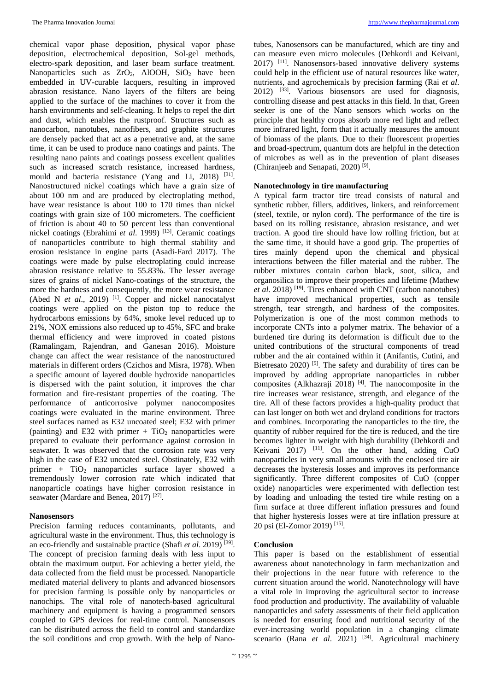chemical vapor phase deposition, physical vapor phase deposition, electrochemical deposition, Sol-gel methods, electro-spark deposition, and laser beam surface treatment. Nanoparticles such as  $ZrO_2$ , AlOOH, SiO<sub>2</sub> have been embedded in UV-curable lacquers, resulting in improved abrasion resistance. Nano layers of the filters are being applied to the surface of the machines to cover it from the harsh environments and self-cleaning. It helps to repel the dirt and dust, which enables the rustproof. Structures such as nanocarbon, nanotubes, nanofibers, and graphite structures are densely packed that act as a penetrative and, at the same time, it can be used to produce nano coatings and paints. The resulting nano paints and coatings possess excellent qualities such as increased scratch resistance, increased hardness, mould and bacteria resistance (Yang and Li, 2018) [31]. Nanostructured nickel coatings which have a grain size of about 100 nm and are produced by electroplating method, have wear resistance is about 100 to 170 times than nickel coatings with grain size of 100 micrometers. The coefficient of friction is about 40 to 50 percent less than conventional nickel coatings (Ebrahimi *et al.* 1999)<sup>[13]</sup>. Ceramic coatings of nanoparticles contribute to high thermal stability and erosion resistance in engine parts (Asadi-Fard 2017). The coatings were made by pulse electroplating could increase abrasion resistance relative to 55.83%. The lesser average sizes of grains of nickel Nano-coatings of the structure, the more the hardness and consequently, the more wear resistance (Abed N *et al*., 2019) [1]. Copper and nickel nanocatalyst coatings were applied on the piston top to reduce the hydrocarbons emissions by 64%, smoke level reduced up to 21%, NOX emissions also reduced up to 45%, SFC and brake thermal efficiency and were improved in coated pistons (Ramalingam, Rajendran, and Ganesan 2016). Moisture change can affect the wear resistance of the nanostructured materials in different orders (Czichos and Misra, 1978). When a specific amount of layered double hydroxide nanoparticles is dispersed with the paint solution, it improves the char formation and fire-resistant properties of the coating. The performance of anticorrosive polymer nanocomposites coatings were evaluated in the marine environment. Three steel surfaces named as E32 uncoated steel; E32 with primer (painting) and E32 with primer  $+ TiO<sub>2</sub>$  nanoparticles were prepared to evaluate their performance against corrosion in seawater. It was observed that the corrosion rate was very high in the case of E32 uncoated steel. Obstinately, E32 with primer + TiO2 nanoparticles surface layer showed a tremendously lower corrosion rate which indicated that nanoparticle coatings have higher corrosion resistance in seawater (Mardare and Benea, 2017)<sup>[27]</sup>.

## **Nanosensors**

Precision farming reduces contaminants, pollutants, and agricultural waste in the environment. Thus, this technology is an eco-friendly and sustainable practice (Shafi *et al*. 2019) [39]. The concept of precision farming deals with less input to obtain the maximum output. For achieving a better yield, the data collected from the field must be processed. Nanoparticle mediated material delivery to plants and advanced biosensors for precision farming is possible only by nanoparticles or nanochips. The vital role of nanotech-based agricultural machinery and equipment is having a programmed sensors coupled to GPS devices for real-time control. Nanosensors can be distributed across the field to control and standardize the soil conditions and crop growth. With the help of Nano-

tubes, Nanosensors can be manufactured, which are tiny and can measure even micro molecules (Dehkordi and Keivani, 2017) [11]. Nanosensors-based innovative delivery systems could help in the efficient use of natural resources like water, nutrients, and agrochemicals by precision farming (Rai *et al*. 2012) [33]. Various biosensors are used for diagnosis, controlling disease and pest attacks in this field. In that, Green seeker is one of the Nano sensors which works on the principle that healthy crops absorb more red light and reflect more infrared light, form that it actually measures the amount of biomass of the plants. Due to their fluorescent properties and broad-spectrum, quantum dots are helpful in the detection of microbes as well as in the prevention of plant diseases (Chiranjeeb and Senapati, 2020) [9].

## **Nanotechnology in tire manufacturing**

A typical farm tractor tire tread consists of natural and synthetic rubber, fillers, additives, linkers, and reinforcement (steel, textile, or nylon cord). The performance of the tire is based on its rolling resistance, abrasion resistance, and wet traction. A good tire should have low rolling friction, but at the same time, it should have a good grip. The properties of tires mainly depend upon the chemical and physical interactions between the filler material and the rubber. The rubber mixtures contain carbon black, soot, silica, and organosilica to improve their properties and lifetime (Mathew *et al*. 2018) [19]. Tires enhanced with CNT (carbon nanotubes) have improved mechanical properties, such as tensile strength, tear strength, and hardness of the composites. Polymerization is one of the most common methods to incorporate CNTs into a polymer matrix. The behavior of a burdened tire during its deformation is difficult due to the united contributions of the structural components of tread rubber and the air contained within it (Anifantis, Cutini, and Bietresato  $2020$ <sup>[5]</sup>. The safety and durability of tires can be improved by adding appropriate nanoparticles in rubber composites (Alkhazraji 2018)  $[4]$ . The nanocomposite in the tire increases wear resistance, strength, and elegance of the tire. All of these factors provides a high-quality product that can last longer on both wet and dryland conditions for tractors and combines. Incorporating the nanoparticles to the tire, the quantity of rubber required for the tire is reduced, and the tire becomes lighter in weight with high durability (Dehkordi and Keivani  $2017$ ) <sup>[11]</sup>. On the other hand, adding CuO nanoparticles in very small amounts with the enclosed tire air decreases the hysteresis losses and improves its performance significantly. Three different composites of CuO (copper oxide) nanoparticles were experimented with deflection test by loading and unloading the tested tire while resting on a firm surface at three different inflation pressures and found that higher hysteresis losses were at tire inflation pressure at 20 psi (El-Zomor 2019) [15].

# **Conclusion**

This paper is based on the establishment of essential awareness about nanotechnology in farm mechanization and their projections in the near future with reference to the current situation around the world. Nanotechnology will have a vital role in improving the agricultural sector to increase food production and productivity. The availability of valuable nanoparticles and safety assessments of their field application is needed for ensuring food and nutritional security of the ever-increasing world population in a changing climate scenario (Rana *et al.* 2021) <sup>[34]</sup>. Agricultural machinery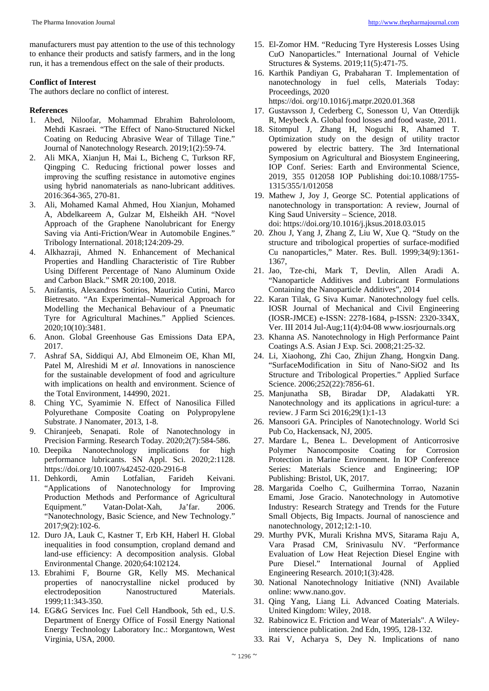manufacturers must pay attention to the use of this technology to enhance their products and satisfy farmers, and in the long run, it has a tremendous effect on the sale of their products.

# **Conflict of Interest**

The authors declare no conflict of interest.

# **References**

- 1. Abed, Niloofar, Mohammad Ebrahim Bahrololoom, Mehdi Kasraei. "The Effect of Nano-Structured Nickel Coating on Reducing Abrasive Wear of Tillage Tine." Journal of Nanotechnology Research. 2019;1(2):59-74.
- 2. Ali MKA, Xianjun H, Mai L, Bicheng C, Turkson RF, Qingping C. Reducing frictional power losses and improving the scuffing resistance in automotive engines using hybrid nanomaterials as nano-lubricant additives. 2016:364-365, 270-81.
- 3. Ali, Mohamed Kamal Ahmed, Hou Xianjun, Mohamed A, Abdelkareem A, Gulzar M, Elsheikh AH. "Novel Approach of the Graphene Nanolubricant for Energy Saving via Anti-Friction/Wear in Automobile Engines." Tribology International. 2018;124:209-29.
- 4. Alkhazraji, Ahmed N. Enhancement of Mechanical Properties and Handling Characteristic of Tire Rubber Using Different Percentage of Nano Aluminum Oxide and Carbon Black." SMR 20:100, 2018.
- 5. Anifantis, Alexandros Sotirios, Maurizio Cutini, Marco Bietresato. "An Experimental–Numerical Approach for Modelling the Mechanical Behaviour of a Pneumatic Tyre for Agricultural Machines." Applied Sciences. 2020;10(10):3481.
- 6. Anon. Global Greenhouse Gas Emissions Data EPA, 2017.
- 7. Ashraf SA, Siddiqui AJ, Abd Elmoneim OE, Khan MI, Patel M, Alreshidi M *et al*. Innovations in nanoscience for the sustainable development of food and agriculture with implications on health and environment. Science of the Total Environment, 144990, 2021.
- 8. Ching YC, Syamimie N. Effect of Nanosilica Filled Polyurethane Composite Coating on Polypropylene Substrate. J Nanomater, 2013, 1-8.
- 9. Chiranjeeb, Senapati. Role of Nanotechnology in Precision Farming. Research Today. 2020;2(7):584-586.
- 10. Deepika Nanotechnology implications for high performance lubricants. SN Appl. Sci. 2020;2:1128. https://doi.org/10.1007/s42452-020-2916-8
- 11. Dehkordi, Amin Lotfalian, Farideh Keivani. "Applications of Nanotechnology for Improving Production Methods and Performance of Agricultural Equipment." Vatan-Dolat-Xah, Ja'far. 2006. "Nanotechnology, Basic Science, and New Technology." 2017;9(2):102-6.
- 12. Duro JA, Lauk C, Kastner T, Erb KH, Haberl H. Global inequalities in food consumption, cropland demand and land-use efficiency: A decomposition analysis. Global Environmental Change. 2020;64:102124.
- 13. Ebrahimi F, Bourne GR, Kelly MS. Mechanical properties of nanocrystalline nickel produced by electrodeposition Nanostructured Materials. 1999;11:343-350.
- 14. EG&G Services Inc. Fuel Cell Handbook, 5th ed., U.S. Department of Energy Office of Fossil Energy National Energy Technology Laboratory Inc.: Morgantown, West Virginia, USA, 2000.
- 15. El-Zomor HM. "Reducing Tyre Hysteresis Losses Using CuO Nanoparticles." International Journal of Vehicle Structures & Systems. 2019;11(5):471-75.
- 16. Karthik Pandiyan G, Prabaharan T. Implementation of nanotechnology in fuel cells, Materials Today: Proceedings, 2020

https://doi. org/10.1016/j.matpr.2020.01.368

- 17. Gustavsson J, Cederberg C, Sonesson U, Van Otterdijk R, Meybeck A. Global food losses and food waste, 2011.
- 18. Sitompul J, Zhang H, Noguchi R, Ahamed T. Optimization study on the design of utility tractor powered by electric battery. The 3rd International Symposium on Agricultural and Biosystem Engineering, IOP Conf. Series: Earth and Environmental Science, 2019, 355 012058 IOP Publishing doi:10.1088/1755- 1315/355/1/012058
- 19. Mathew J, Joy J, George SC. Potential applications of nanotechnology in transportation: A review, Journal of King Saud University – Science, 2018. doi: https://doi.org/10.1016/j.jksus.2018.03.015
- 20. Zhou J, Yang J, Zhang Z, Liu W, Xue Q. "Study on the structure and tribological properties of surface-modified Cu nanoparticles," Mater. Res. Bull. 1999;34(9):1361- 1367,
- 21. Jao, Tze-chi, Mark T, Devlin, Allen Aradi A. "Nanoparticle Additives and Lubricant Formulations Containing the Nanoparticle Additives", 2014
- 22. Karan Tilak, G Siva Kumar. Nanotechnology fuel cells. IOSR Journal of Mechanical and Civil Engineering (IOSR-JMCE) e-ISSN: 2278-1684, p-ISSN: 2320-334X, Ver. III 2014 Jul-Aug;11(4):04-08 www.iosrjournals.org
- 23. Khanna AS. Nanotechnology in High Performance Paint Coatings A.S. Asian J Exp. Sci. 2008;21:25-32.
- 24. Li, Xiaohong, Zhi Cao, Zhijun Zhang, Hongxin Dang. "SurfaceModification in Situ of Nano-SiO2 and Its Structure and Tribological Properties." Applied Surface Science. 2006;252(22):7856-61.
- 25. Manjunatha SB, Biradar DP, Aladakatti YR. Nanotechnology and its applications in agricul-ture: a review. J Farm Sci 2016;29(1):1-13
- 26. Mansoori GA. Principles of Nanotechnology. World Sci Pub Co, Hackensack, NJ, 2005.
- 27. Mardare L, Benea L. Development of Anticorrosive Polymer Nanocomposite Coating for Corrosion Protection in Marine Environment. In IOP Conference Series: Materials Science and Engineering; IOP Publishing: Bristol, UK, 2017.
- 28. Margarida Coelho C, Guilhermina Torrao, Nazanin Emami, Jose Gracio. Nanotechnology in Automotive Industry: Research Strategy and Trends for the Future Small Objects, Big Impacts. Journal of nanoscience and nanotechnology, 2012;12:1-10.
- 29. Murthy PVK, Murali Krishna MVS, Sitarama Raju A, Vara Prasad CM, Srinivasulu NV. "Performance Evaluation of Low Heat Rejection Diesel Engine with Pure Diesel." International Journal of Applied Engineering Research. 2010;1(3):428.
- 30. National Nanotechnology Initiative (NNI) Available online: www.nano.gov.
- 31. Qing Yang, Liang Li. Advanced Coating Materials. United Kingdom: Wiley, 2018.
- 32. Rabinowicz E. Friction and Wear of Materials". A Wileyinterscience publication. 2nd Edn, 1995, 128-132.
- 33. Rai V, Acharya S, Dey N. Implications of nano